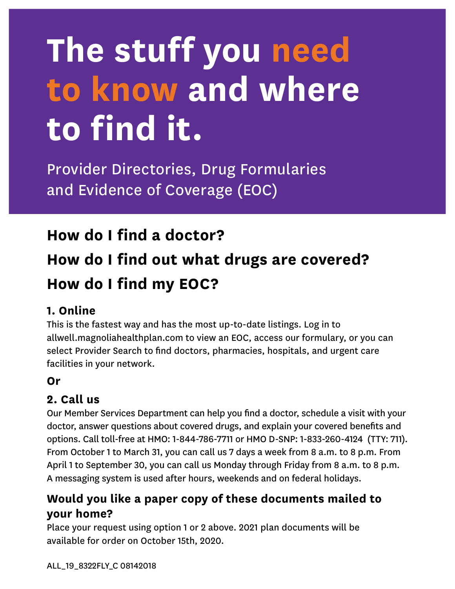# **The stuff you need to know and where to find it.**

Provider Directories, Drug Formularies and Evidence of Coverage (EOC)

### **How do I find a doctor?**

## **How do I find out what drugs are covered? How do I find my EOC?**

#### **1. Online**

This is the fastest way and has the most up-to-date listings. Log in to allwell.magnoliahealthplan.com to view an EOC, access our formulary, or you can select Provider Search to find doctors, pharmacies, hospitals, and urgent care facilities in your network.

#### **Or**

#### **2. Call us**

Our Member Services Department can help you find a doctor, schedule a visit with your doctor, answer questions about covered drugs, and explain your covered benefits and options. Call toll-free at HMO: 1-844-786-7711 or HMO D-SNP: 1-833-260-4124 (TTY: 711). From October 1 to March 31, you can call us 7 days a week from 8 a.m. to 8 p.m. From April 1 to September 30, you can call us Monday through Friday from 8 a.m. to 8 p.m. A messaging system is used after hours, weekends and on federal holidays.

#### **Would you like a paper copy of these documents mailed to your home?**

Place your request using option 1 or 2 above. 2021 plan documents will be available for order on October 15th, 2020.